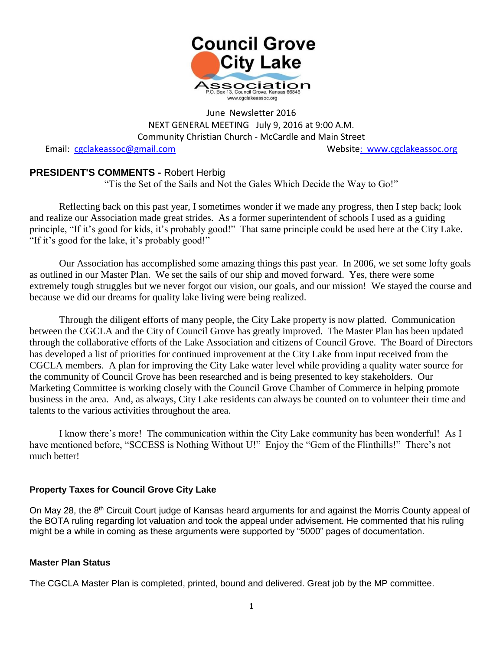

#### June Newsletter 2016 NEXT GENERAL MEETING July 9, 2016 at 9:00 A.M. Community Christian Church - McCardle and Main Street

Email: [cgclakeassoc@gmail.com](mailto:cgclakeassoc@gmail.com) Websit[e: www.cgclakeassoc.org](http://:%20%20www.cgclakeassoc.org%0d)

#### **PRESIDENT'S COMMENTS -** Robert Herbig

"Tis the Set of the Sails and Not the Gales Which Decide the Way to Go!"

Reflecting back on this past year, I sometimes wonder if we made any progress, then I step back; look and realize our Association made great strides. As a former superintendent of schools I used as a guiding principle, "If it's good for kids, it's probably good!" That same principle could be used here at the City Lake. "If it's good for the lake, it's probably good!"

Our Association has accomplished some amazing things this past year. In 2006, we set some lofty goals as outlined in our Master Plan. We set the sails of our ship and moved forward. Yes, there were some extremely tough struggles but we never forgot our vision, our goals, and our mission! We stayed the course and because we did our dreams for quality lake living were being realized.

Through the diligent efforts of many people, the City Lake property is now platted. Communication between the CGCLA and the City of Council Grove has greatly improved. The Master Plan has been updated through the collaborative efforts of the Lake Association and citizens of Council Grove. The Board of Directors has developed a list of priorities for continued improvement at the City Lake from input received from the CGCLA members. A plan for improving the City Lake water level while providing a quality water source for the community of Council Grove has been researched and is being presented to key stakeholders. Our Marketing Committee is working closely with the Council Grove Chamber of Commerce in helping promote business in the area. And, as always, City Lake residents can always be counted on to volunteer their time and talents to the various activities throughout the area.

I know there's more! The communication within the City Lake community has been wonderful! As I have mentioned before, "SCCESS is Nothing Without U!" Enjoy the "Gem of the Flinthills!" There's not much better!

#### **Property Taxes for Council Grove City Lake**

On May 28, the 8<sup>th</sup> Circuit Court judge of Kansas heard arguments for and against the Morris County appeal of the BOTA ruling regarding lot valuation and took the appeal under advisement. He commented that his ruling might be a while in coming as these arguments were supported by "5000" pages of documentation.

#### **Master Plan Status**

The CGCLA Master Plan is completed, printed, bound and delivered. Great job by the MP committee.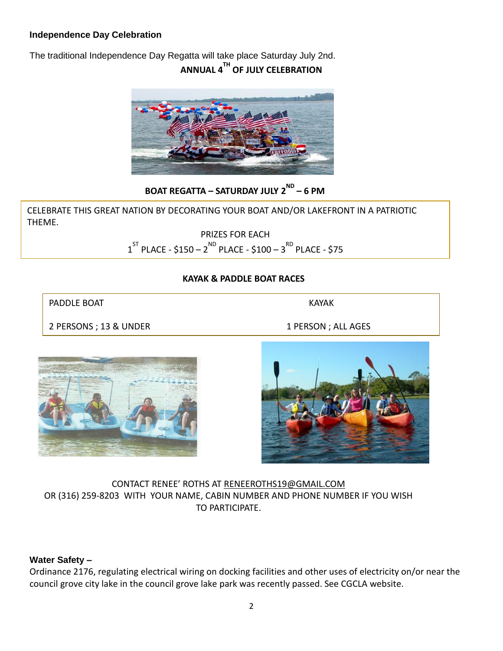#### **Independence Day Celebration**

The traditional Independence Day Regatta will take place Saturday July 2nd. **ANNUAL 4TH OF JULY CELEBRATION**



**BOAT REGATTA – SATURDAY JULY 2ND – 6 PM**

CELEBRATE THIS GREAT NATION BY DECORATING YOUR BOAT AND/OR LAKEFRONT IN A PATRIOTIC THEME.

> PRIZES FOR EACH  $1^\text{ST}$  PLACE - \$150  $-$  2  $^\text{ND}$  PLACE - \$100  $-$  3  $^\text{RD}$  PLACE - \$75

#### **KAYAK & PADDLE BOAT RACES**

PADDLE BOAT NAMES AND THE STATE OF STATE AND MALE AND THE STATE OF STATE AND THE STATE OF STATE OF STATE OF STATE OF STATE OF STATE OF STATE OF STATE OF STATE OF STATE OF STATE OF STATE OF STATE OF STATE OF STATE OF STATE

2 PERSONS ; 13 & UNDER 1 PERSON ; ALL AGES





CONTACT RENEE' ROTHS AT [RENEEROTHS19@GMAIL.COM](mailto:RENEEROTHS19@GMAIL.COM) OR (316) 259-8203 WITH YOUR NAME, CABIN NUMBER AND PHONE NUMBER IF YOU WISH TO PARTICIPATE.

#### **Water Safety –**

Ordinance 2176, regulating electrical wiring on docking facilities and other uses of electricity on/or near the council grove city lake in the council grove lake park was recently passed. See CGCLA website.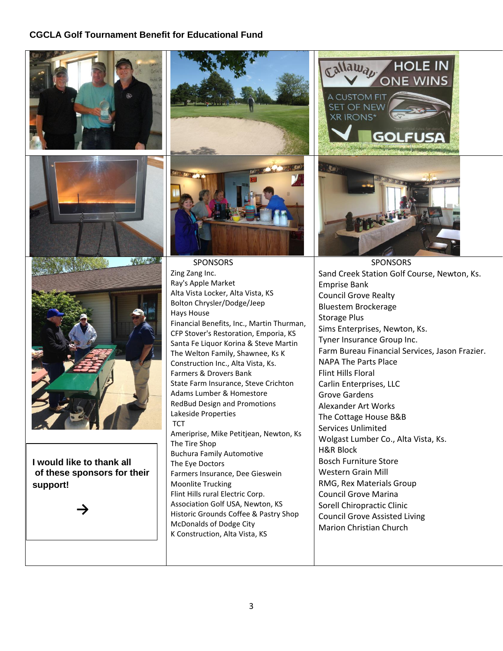#### **CGCLA Golf Tournament Benefit for Educational Fund**





 SPONSORS Zing Zang Inc. Ray's Apple Market Alta Vista Locker, Alta Vista, KS Bolton Chrysler/Dodge/Jeep Hays House Financial Benefits, Inc., Martin Thurman, CFP Stover's Restoration, Emporia, KS Santa Fe Liquor Korina & Steve Martin The Welton Family, Shawnee, Ks K Construction Inc., Alta Vista, Ks. Farmers & Drovers Bank State Farm Insurance, Steve Crichton Adams Lumber & Homestore RedBud Design and Promotions Lakeside Properties Ameriprise, Mike Petitjean, Newton, Ks The Tire Shop Buchura Family Automotive The Eye Doctors Farmers Insurance, Dee Gieswein Moonlite Trucking Flint Hills rural Electric Corp. Association Golf USA, Newton, KS Historic Grounds Coffee & Pastry Shop McDonalds of Dodge City K Construction, Alta Vista, KS



 SPONSORS Sand Creek Station Golf Course, Newton, Ks. Emprise Bank Council Grove Realty Bluestem Brockerage Storage Plus Sims Enterprises, Newton, Ks. Tyner Insurance Group Inc. Farm Bureau Financial Services, Jason Frazier. NAPA The Parts Place Flint Hills Floral Carlin Enterprises, LLC Grove Gardens Alexander Art Works The Cottage House B&B Services Unlimited Wolgast Lumber Co., Alta Vista, Ks. H&R Block Bosch Furniture Store Western Grain Mill RMG, Rex Materials Group Council Grove Marina Sorell Chiropractic Clinic Council Grove Assisted Living Marion Christian Church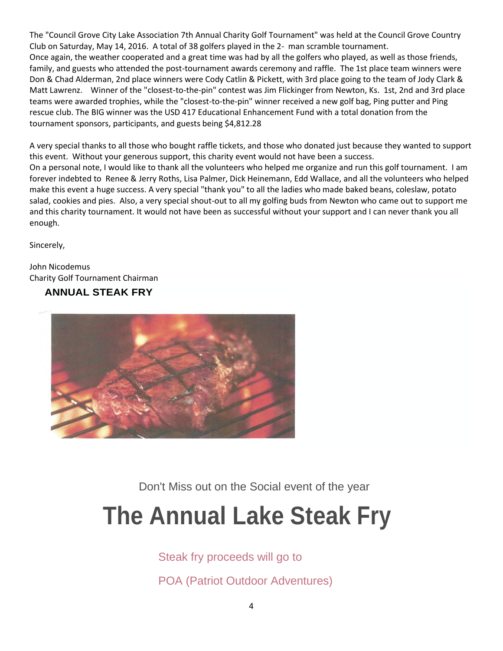The "Council Grove City Lake Association 7th Annual Charity Golf Tournament" was held at the Council Grove Country Club on Saturday, May 14, 2016. A total of 38 golfers played in the 2- man scramble tournament. Once again, the weather cooperated and a great time was had by all the golfers who played, as well as those friends, family, and guests who attended the post-tournament awards ceremony and raffle. The 1st place team winners were Don & Chad Alderman, 2nd place winners were Cody Catlin & Pickett, with 3rd place going to the team of Jody Clark & Matt Lawrenz. Winner of the "closest-to-the-pin" contest was Jim Flickinger from Newton, Ks. 1st, 2nd and 3rd place teams were awarded trophies, while the "closest-to-the-pin" winner received a new golf bag, Ping putter and Ping rescue club. The BIG winner was the USD 417 Educational Enhancement Fund with a total donation from the tournament sponsors, participants, and guests being \$4,812.28

A very special thanks to all those who bought raffle tickets, and those who donated just because they wanted to support this event. Without your generous support, this charity event would not have been a success. On a personal note, I would like to thank all the volunteers who helped me organize and run this golf tournament. I am forever indebted to Renee & Jerry Roths, Lisa Palmer, Dick Heinemann, Edd Wallace, and all the volunteers who helped make this event a huge success. A very special "thank you" to all the ladies who made baked beans, coleslaw, potato salad, cookies and pies. Also, a very special shout-out to all my golfing buds from Newton who came out to support me and this charity tournament. It would not have been as successful without your support and I can never thank you all

Sincerely,

enough.

John Nicodemus Charity Golf Tournament Chairman

#### **ANNUAL STEAK FRY**



Don't Miss out on the Social event of the year

## **The Annual Lake Steak Fry**

Steak fry proceeds will go to

POA (Patriot Outdoor Adventures)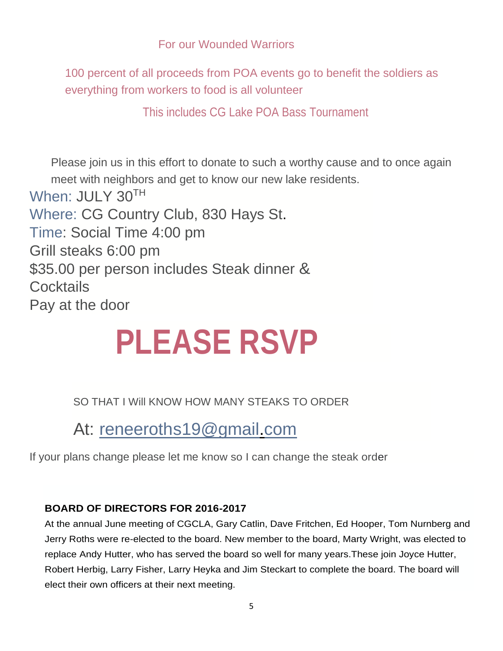#### For our Wounded Warriors

100 percent of all proceeds from POA events go to benefit the soldiers as everything from workers to food is all volunteer

This includes CG Lake POA Bass Tournament

Please join us in this effort to donate to such a worthy cause and to once again meet with neighbors and get to know our new lake residents. When: JULY 30TH Where: CG Country Club, 830 Hays St. Time: Social Time 4:00 pm Grill steaks 6:00 pm \$35.00 per person includes Steak dinner & **Cocktails** Pay at the door

# **PLEASE RSVP**

SO THAT I Will KNOW HOW MANY STEAKS TO ORDER

At: [reneeroths19@gmail.com](mailto:reneeroths19@gmail.com)

If your plans change please let me know so I can change the steak order

#### **BOARD OF DIRECTORS FOR 2016-2017**

At the annual June meeting of CGCLA, Gary Catlin, Dave Fritchen, Ed Hooper, Tom Nurnberg and Jerry Roths were re-elected to the board. New member to the board, Marty Wright, was elected to replace Andy Hutter, who has served the board so well for many years.These join Joyce Hutter, Robert Herbig, Larry Fisher, Larry Heyka and Jim Steckart to complete the board. The board will elect their own officers at their next meeting.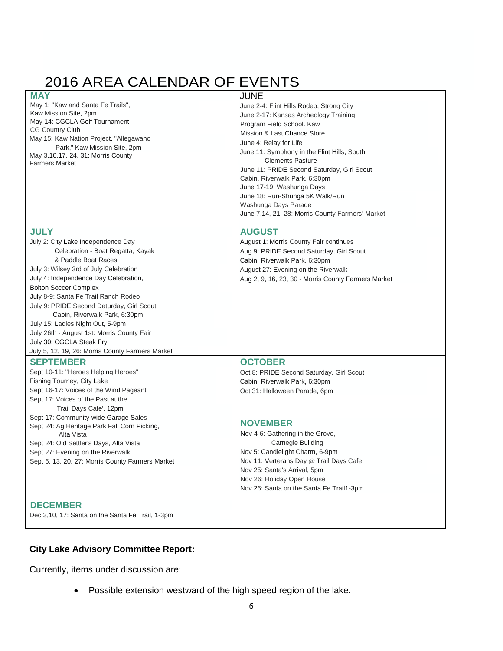### 2016 AREA CALENDAR OF EVENTS

| <b>MAY</b>                                       | <b>JUNE</b>                                         |
|--------------------------------------------------|-----------------------------------------------------|
| May 1: "Kaw and Santa Fe Trails",                | June 2-4: Flint Hills Rodeo, Strong City            |
| Kaw Mission Site, 2pm                            | June 2-17: Kansas Archeology Training               |
| May 14: CGCLA Golf Tournament                    | Program Field School. Kaw                           |
| CG Country Club                                  | Mission & Last Chance Store                         |
| May 15: Kaw Nation Project, "Allegawaho          | June 4: Relay for Life                              |
| Park," Kaw Mission Site, 2pm                     | June 11: Symphony in the Flint Hills, South         |
| May 3,10,17, 24, 31: Morris County               | <b>Clements Pasture</b>                             |
| <b>Farmers Market</b>                            | June 11: PRIDE Second Saturday, Girl Scout          |
|                                                  | Cabin, Riverwalk Park, 6:30pm                       |
|                                                  | June 17-19: Washunga Days                           |
|                                                  | June 18: Run-Shunga 5K Walk/Run                     |
|                                                  | Washunga Days Parade                                |
|                                                  | June 7,14, 21, 28: Morris County Farmers' Market    |
|                                                  |                                                     |
| <b>JULY</b>                                      | <b>AUGUST</b>                                       |
| July 2: City Lake Independence Day               | August 1: Morris County Fair continues              |
| Celebration - Boat Regatta, Kayak                | Aug 9: PRIDE Second Saturday, Girl Scout            |
| & Paddle Boat Races                              | Cabin, Riverwalk Park, 6:30pm                       |
| July 3: Wilsey 3rd of July Celebration           | August 27: Evening on the Riverwalk                 |
| July 4: Independence Day Celebration,            | Aug 2, 9, 16, 23, 30 - Morris County Farmers Market |
| <b>Bolton Soccer Complex</b>                     |                                                     |
| July 8-9: Santa Fe Trail Ranch Rodeo             |                                                     |
| July 9: PRIDE Second Daturday, Girl Scout        |                                                     |
| Cabin, Riverwalk Park, 6:30pm                    |                                                     |
| July 15: Ladies Night Out, 5-9pm                 |                                                     |
| July 26th - August 1st: Morris County Fair       |                                                     |
| July 30: CGCLA Steak Fry                         |                                                     |
| July 5, 12, 19, 26: Morris County Farmers Market |                                                     |
| <b>SEPTEMBER</b>                                 | <b>OCTOBER</b>                                      |
| Sept 10-11: "Heroes Helping Heroes"              | Oct 8: PRIDE Second Saturday, Girl Scout            |
| Fishing Tourney, City Lake                       | Cabin, Riverwalk Park, 6:30pm                       |
| Sept 16-17: Voices of the Wind Pageant           | Oct 31: Halloween Parade, 6pm                       |
| Sept 17: Voices of the Past at the               |                                                     |
| Trail Days Cafe', 12pm                           |                                                     |
| Sept 17: Community-wide Garage Sales             |                                                     |
| Sept 24: Ag Heritage Park Fall Corn Picking,     | <b>NOVEMBER</b>                                     |
| Alta Vista                                       | Nov 4-6: Gathering in the Grove,                    |
| Sept 24: Old Settler's Days, Alta Vista          | Carnegie Building                                   |
| Sept 27: Evening on the Riverwalk                | Nov 5: Candlelight Charm, 6-9pm                     |
| Sept 6, 13, 20, 27: Morris County Farmers Market | Nov 11: Verterans Day @ Trail Days Cafe             |
|                                                  | Nov 25: Santa's Arrival, 5pm                        |
|                                                  | Nov 26: Holiday Open House                          |
|                                                  | Nov 26: Santa on the Santa Fe Trail1-3pm            |
| <b>DECEMBER</b>                                  |                                                     |
|                                                  |                                                     |
| Dec 3,10, 17: Santa on the Santa Fe Trail, 1-3pm |                                                     |
|                                                  |                                                     |

#### **City Lake Advisory Committee Report:**

Currently, items under discussion are:

Possible extension westward of the high speed region of the lake.